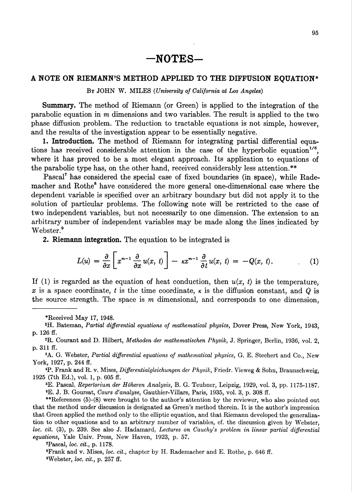## A NOTE ON RIEMANN'S METHOD APPLIED TO THE DIFFUSION EQUATION\*

By JOHN W. MILES (University of California at Los Angeles)

Summary. The method of Riemann (or Green) is applied to the integration of the parabolic equation in m dimensions and two variables. The result is applied to the two phase diffusion problem. The reduction to tractable equations is not simple, however, and the results of the investigation appear to be essentially negative.

1. Introduction. The method of Riemann for integrating partial differential equations has received considerable attention in the case of the hyperbolic equation<sup>176</sup>, where it has proved to be a most elegant approach. Its application to equations of the parabolic type has, on the other hand, received considerably less attention.\*\*

Pascal<sup>7</sup> has considered the special case of fixed boundaries (in space), while Rademacher and Rothe<sup>8</sup> have considered the more general one-dimensional case where the dependent variable is specified over an arbitrary boundary but did not apply it to the solution of particular problems. The following note will be restricted to the case of two independent variables, but not necessarily to one dimension. The extension to an arbitrary number of independent variables may be made along the lines indicated by Webster.<sup>9</sup>

2. Riemann integration. The equation to be integrated is

$$
L(u) = \frac{\partial}{\partial x} \left[ x^{m-1} \frac{\partial}{\partial x} u(x, t) \right] - \kappa x^{m-1} \frac{\partial}{\partial t} u(x, t) = -Q(x, t). \tag{1}
$$

If (1) is regarded as the equation of heat conduction, then  $u(x, t)$  is the temperature, x is a space coordinate, t is the time coordinate,  $\kappa$  is the diffusion constant, and Q is the source strength. The space is m dimensional, and corresponds to one dimension,

2R. Courant and D. Hilbert, Methoden der mathematischen Physik, J. Springer, Berlin, 1936, vol. 2, p. 311 ff.

<sup>3</sup>A. G. Webster, Partial differential equations of mathematical physics, G. E. Stechert and Co., New York, 1927, p. 244 ff.

 $4P$ . Frank and R. v. Mises, Differentialgleichungen der Physik, Friedr. Vieweg & Sohn, Braunschweig, 1925 (7th Ed.), vol. 1, p. 605 ff.

6E. Pascal, Repertorium der Hdheren Analysis, B. G. Teubner, Leipzig, 1929, vol. 3, pp. 1175-1187. 6E. J. B. Goursat, Cours d'analyse, Gauthier-Villars, Paris, 1935, vol. 3, p. 308 ff.

\*\*References (5)-(8) were brought to the author's attention by the reviewer, who also pointed out that the method under discussion is designated as Green's method therein. It is the author's impression that Green applied the method only to the elliptic equation, and that Riemann developed the generalization to other equations and to an arbitrary number of variables, cf. the discussion given by Webster, loc. cit. (3), p. 239. See also J. Hadamard, Lectures on Cauchy's problem in linear partial differential equations, Yale Univ. Press, New Haven, 1923, p. 57.

'Pascal, loc. cit., p. 1178.

8Frank and v. Mises, loc. cit., chapter by H. Rademacher and E. Rothe, p. 646 ff.  $W$ ebster, loc. cit., p. 257 ff.

<sup>\*</sup>Received May 17, 1948.

<sup>&#</sup>x27;H. Bateman, Partial differential equations of mathematical physics, Dover Press, New York, 1943, p. 126 ff.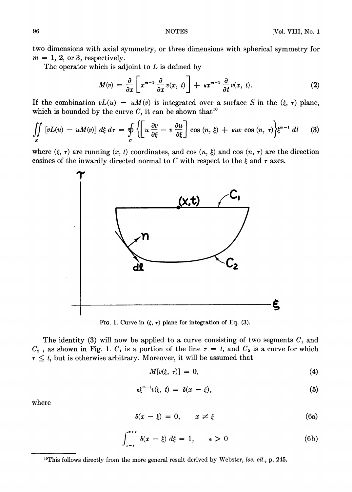two dimensions with axial symmetry, or three dimensions with spherical symmetry for  $m = 1, 2, \text{ or } 3$ , respectively.

The operator which is adjoint to  $L$  is defined by

$$
M(v) = \frac{\partial}{\partial x} \left[ x^{m-1} \frac{\partial}{\partial x} v(x, t) \right] + \kappa x^{m-1} \frac{\partial}{\partial t} v(x, t). \tag{2}
$$

If the combination  $vL(u) - uM(v)$  is integrated over a surface S in the  $(\xi, \tau)$  plane, which is bounded by the curve C, it can be shown that<sup>10</sup>

$$
\iint\limits_{S} \left[ vL(u) - uM(v) \right] d\xi \, d\tau = \oint\limits_{C} \left\{ \left[ u \, \frac{\partial v}{\partial \xi} - v \, \frac{\partial u}{\partial \xi} \right] \cos \left( n, \, \xi \right) + \kappa u v \, \cos \left( n, \, \tau \right) \right\} \xi^{m-1} \, dl \tag{3}
$$

where  $(\xi, \tau)$  are running  $(x, t)$  coordinates, and cos  $(n, \xi)$  and cos  $(n, \tau)$  are the direction cosines of the inwardly directed normal to C with respect to the  $\xi$  and  $\tau$  axes.



Fig. 1. Curve in  $(\xi, \tau)$  plane for integration of Eq. (3).

The identity (3) will now be applied to a curve consisting of two segments  $C_1$  and  $C_2$ , as shown in Fig. 1.  $C_1$  is a portion of the line  $\tau = t$ , and  $C_2$  is a curve for which  $\tau \leq t$ , but is otherwise arbitrary. Moreover, it will be assumed that

$$
M[v(\xi, \tau)] = 0, \tag{4}
$$

$$
\kappa \xi^{m-1} v(\xi, t) = \delta(x - \xi), \tag{5}
$$

where

$$
\delta(x - \xi) = 0, \qquad x \neq \xi \tag{6a}
$$

$$
\int_{x-\epsilon}^{x+\epsilon} \delta(x-\xi) d\xi = 1, \qquad \epsilon > 0 \tag{6b}
$$

<sup>10</sup>This follows directly from the more general result derived by Webster, loc. cit., p. 245.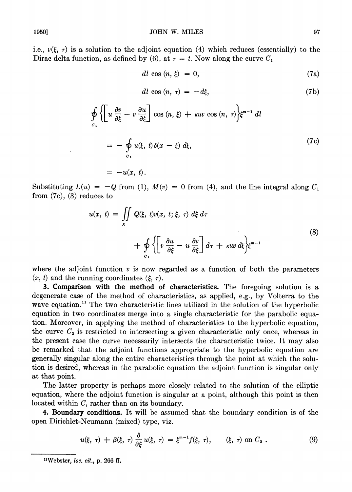i.e.,  $v(\xi, \tau)$  is a solution to the adjoint equation (4) which reduces (essentially) to the Dirac delta function, as defined by (6), at  $\tau = t$ . Now along the curve  $C_1$ 

$$
dl \cos (n, \xi) = 0, \tag{7a}
$$

$$
dl \cos (n, \tau) = -d\xi, \tag{7b}
$$

$$
\oint_{C_1} \left\{ \left[ u \frac{\partial v}{\partial \xi} - v \frac{\partial u}{\partial \xi} \right] \cos (n, \xi) + \kappa u v \cos (n, \tau) \right\} \xi^{m-1} dl
$$
\n
$$
= - \oint_{C_1} u(\xi, t) \delta(x - \xi) d\xi,
$$
\n
$$
= -u(x, t).
$$
\n(7c)

Substituting  $L(u) = -Q$  from (1),  $M(v) = 0$  from (4), and the line integral along  $C_1$ from (7c), (3) reduces to

$$
u(x, t) = \iint\limits_{S} Q(\xi, t)v(x, t; \xi, \tau) d\xi d\tau
$$
  
+ 
$$
\oint\limits_{C_2} \left\{ \left[ v \frac{\partial u}{\partial \xi} - u \frac{\partial v}{\partial \xi} \right] d\tau + \kappa uv d\xi \right\} \xi^{m-1}
$$
 (8)

where the adjoint function  $v$  is now regarded as a function of both the parameters  $(x, t)$  and the running coordinates  $(\xi, \tau)$ .

3. Comparison with the method of characteristics. The foregoing solution is a degenerate case of the method of characteristics, as applied, e.g., by Volterra to the wave equation.<sup>11</sup> The two characteristic lines utilized in the solution of the hyperbolic equation in two coordinates merge into a single characteristic for the parabolic equation. Moreover, in applying the method of characteristics to the hyperbolic equation, the curve  $C_2$  is restricted to intersecting a given characteristic only once, whereas in the present case the curve necessarily intersects the characteristic twice. It may also be remarked that the adjoint functions appropriate to the hyperbolic equation are generally singular along the entire characteristics through the point at which the solution is desired, whereas in the parabolic equation the adjoint function is singular only at that point.

The latter property is perhaps more closely related to the solution of the elliptic equation, where the adjoint function is singular at a point, although this point is then located within C, rather than on its boundary.

4. Boundary conditions. It will be assumed that the boundary condition is of the open Dirichlet-Neumann (mixed) type, viz.

$$
u(\xi, \tau) + \beta(\xi, \tau) \frac{\partial}{\partial \xi} u(\xi, \tau) = \xi^{m-1} f(\xi, \tau), \qquad (\xi, \tau) \text{ on } C_2. \qquad (9)
$$

 $"Webster, loc. cit., p. 266 ff.$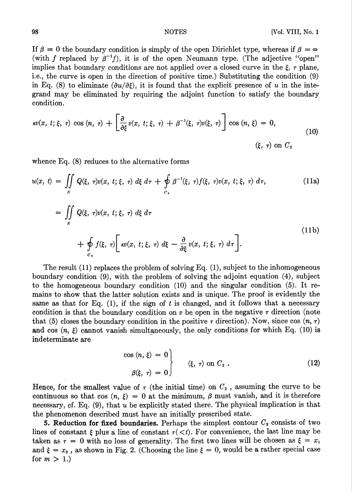If  $\beta = 0$  the boundary condition is simply of the open Dirichlet type, whereas if  $\beta = \infty$ (with f replaced by  $\beta^{-1}f$ ), it is of the open Neumann type. (The adjective "open" implies that boundary conditions are not applied over a closed curve in the  $\xi$ ,  $\tau$  plane, i.e., the curve is open in the direction of positive time.) Substituting the condition (9) in Eq. (8) to eliminate  $(\partial u/\partial \xi)$ , it is found that the explicit presence of u in the integrand may be eliminated by requiring the adjoint function to satisfy the boundary condition.

$$
\kappa v(x, t; \xi, \tau) \cos(n, \tau) + \left[\frac{\partial}{\partial \xi} v(x, t; \xi, \tau) + \beta^{-1}(\xi, \tau) v(\xi, \tau)\right] \cos(n, \xi) = 0,
$$
\n(10)\n
$$
(\xi, \tau) \text{ on } C_2
$$

whence Eq. (8) reduces to the alternative forms

$$
u(x, t) = \iint_{S} Q(\xi, \tau) v(x, t; \xi, \tau) d\xi d\tau + \oint_{C_2} \beta^{-1}(\xi, \tau) f(\xi, \tau) v(x, t; \xi, \tau) d\tau,
$$
(11a)  

$$
= \iint_{S} Q(\xi, \tau) v(x, t; \xi, \tau) d\xi d\tau + \oint_{C_3} f(\xi, \tau) \left[ \kappa v(x, t; \xi, \tau) d\xi - \frac{\partial}{\partial \xi} v(x, t; \xi, \tau) d\tau \right].
$$
(11b)

The result  $(11)$  replaces the problem of solving Eq.  $(1)$ , subject to the inhomogeneous boundary condition (9), with the problem of solving the adjoint equation (4), subject to the homogeneous boundary condition (10) and the singular condition (5). It remains to show that the latter solution exists and is unique. The proof is evidently the same as that for Eq.  $(1)$ , if the sign of t is changed, and it follows that a necessary condition is that the boundary condition on  $v$  be open in the negative  $\tau$  direction (note that (5) closes the boundary condition in the positive  $\tau$  direction). Now, since cos  $(n, \tau)$ and cos  $(n, \xi)$  cannot vanish simultaneously, the only conditions for which Eq. (10) is indeterminate are

$$
\begin{aligned}\n\cos(n,\,\xi) &= 0 \\
\beta(\xi,\,\tau) &= 0\n\end{aligned}\n\qquad \quad (\xi,\,\tau) \text{ on } C_2 .
$$
\n(12)

Hence, for the smallest value of  $\tau$  (the initial time) on  $C_2$ , assuming the curve to be continuous so that cos  $(n, \xi) = 0$  at the minimum,  $\beta$  must vanish, and it is therefore necessary, cf. Eq. (9), that u be explicitly stated there. The physical implication is that the phenomenon described must have an initially prescribed state.

5. Reduction for fixed boundaries. Perhaps the simplest contour  $C_2$  consists of two lines of constant  $\xi$  plus a line of constant  $\tau(\langle t \rangle)$ . For convenience, the last line may be taken as  $\tau = 0$  with no loss of generality. The first two lines will be chosen as  $\xi = x_1$ and  $\xi = x_2$ , as shown in Fig. 2. (Choosing the line  $\xi = 0$ , would be a rather special case for  $m > 1$ .)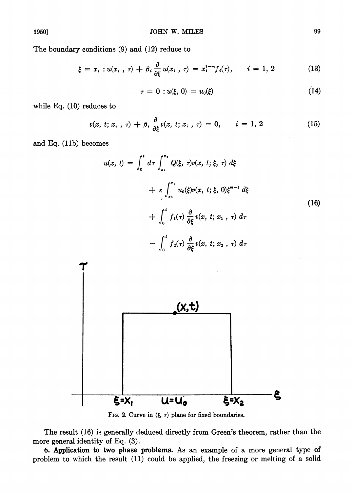The boundary conditions (9) and (12) reduce to

$$
\xi = x_i : u(x_i, \tau) + \beta_i \frac{\partial}{\partial \xi} u(x_i, \tau) = x_i^{1-m} f_i(\tau), \qquad i = 1, 2 \tag{13}
$$

$$
\tau = 0 : u(\xi, 0) = u_0(\xi) \tag{14}
$$

while Eq. (10) reduces to

$$
v(x, t; x_i, \tau) + \beta_i \frac{\partial}{\partial \xi} v(x, t; x_i, \tau) = 0, \qquad i = 1, 2 \tag{15}
$$

and Eq. (lib) becomes

$$
u(x, t) = \int_0^t d\tau \int_{x_1}^{x_2} Q(\xi, \tau) v(x, t; \xi, \tau) d\xi
$$
  
+  $\kappa \int_{x_1}^{x_2} u_0(\xi) v(x, t; \xi, 0) \xi^{m-1} d\xi$   
+  $\int_0^t f_1(\tau) \frac{\partial}{\partial \xi} v(x, t; x_1, \tau) d\tau$   
-  $\int_0^t f_2(\tau) \frac{\partial}{\partial \xi} v(x, t; x_2, \tau) d\tau$  (16)



FIG. 2. Curve in  $(\xi, \tau)$  plane for fixed boundaries.

The result (16) is generally deduced directly from Green's theorem, rather than the more general identity of Eq. (3).

6. Application to two phase problems. As an example of a more general type of problem to which the result (11) could be applied, the freezing or melting of a solid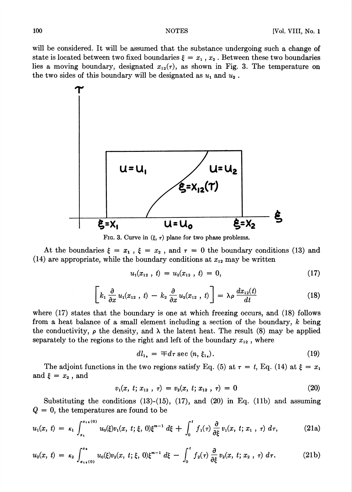will be considered. It will be assumed that the substance undergoing such a change of state is located between two fixed boundaries  $\xi = x_1, x_2$ . Between these two boundaries lies a moving boundary, designated  $x_{12}(\tau)$ , as shown in Fig. 3. The temperature on the two sides of this boundary will be designated as  $u_1$  and  $u_2$ .



FIG. 3. Curve in  $(\xi, \tau)$  plane for two phase problems.

At the boundaries  $\xi = x_1$ ,  $\xi = x_2$ , and  $\tau = 0$  the boundary conditions (13) and (14) are appropriate, while the boundary conditions at  $x_{12}$  may be written

$$
u_1(x_{12}, t) = u_2(x_{12}, t) = 0, \qquad (17)
$$

$$
\left[k_1 \frac{\partial}{\partial x} u_1(x_{12}, t) - k_2 \frac{\partial}{\partial x} u_2(x_{12}, t)\right] = \lambda \rho \frac{dx_{12}(t)}{dt}
$$
 (18)

where (17) states that the boundary is one at which freezing occurs, and (18) follows from a heat balance of a small element including a section of the boundary, k being the conductivity,  $\rho$  the density, and  $\lambda$  the latent heat. The result (8) may be applied separately to the regions to the right and left of the boundary  $x_{12}$ , where

$$
dl_{1_{\bullet}} = \mp d\tau \sec (n, \xi_{1_{\bullet}}). \tag{19}
$$

The adjoint functions in the two regions satisfy Eq. (5) at  $\tau = t$ , Eq. (14) at  $\xi = x_1$ and  $\xi = x_2$ , and

$$
v_1(x, t; x_{12}, \tau) = v_2(x, t; x_{12}, \tau) = 0 \tag{20}
$$

Substituting the conditions  $(13)-(15)$ ,  $(17)$ , and  $(20)$  in Eq.  $(11b)$  and assuming  $Q = 0$ , the temperatures are found to be

$$
u_1(x, t) = \kappa_1 \int_{x_1}^{x_{11}(0)} u_0(\xi) v_1(x, t; \xi, 0) \xi^{m-1} d\xi + \int_0^t f_1(\tau) \frac{\partial}{\partial \xi} v_1(x, t; x_1, \tau) d\tau,
$$
 (21a)

$$
u_2(x, t) = \kappa_2 \int_{x_{1s}(0)}^{x_s} u_0(\xi) v_2(x, t; \xi, 0) \xi^{m-1} d\xi - \int_0^t f_2(\tau) \frac{\partial}{\partial \xi} v_2(x, t; x_2, \tau) d\tau.
$$
 (21b)